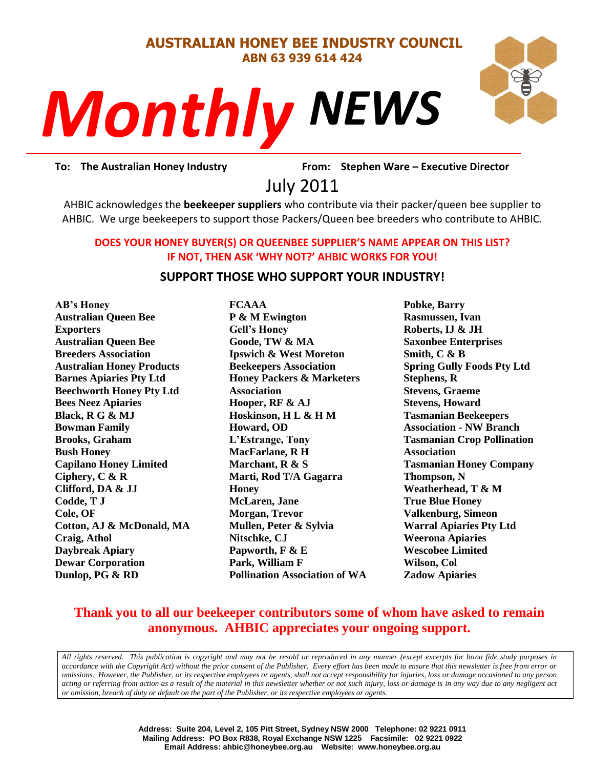#### **AUSTRALIAN HONEY BEE INDUSTRY COUNCIL ABN 63 939 614 424**

# *NEWS Monthly*



rom: Stephe<br>011 **To: The Australian Honey Industry From: Stephen Ware – Executive Director**

July 2011

AHBIC acknowledges the **beekeeper suppliers** who contribute via their packer/queen bee supplier to AHBIC. We urge beekeepers to support those Packers/Queen bee breeders who contribute to AHBIC.

#### **DOES YOUR HONEY BUYER(S) OR QUEENBEE SUPPLIER'S NAME APPEAR ON THIS LIST? IF NOT, THEN ASK 'WHY NOT?' AHBIC WORKS FOR YOU!**

#### **SUPPORT THOSE WHO SUPPORT YOUR INDUSTRY!**

**AB's Honey Australian Queen Bee Exporters Australian Queen Bee Breeders Association Australian Honey Products Barnes Apiaries Pty Ltd Beechworth Honey Pty Ltd Bees Neez Apiaries Black, R G & MJ Bowman Family Brooks, Graham Bush Honey Capilano Honey Limited Ciphery, C & R Clifford, DA & JJ Codde, T J Cole, OF Cotton, AJ & McDonald, MA Craig, Athol Daybreak Apiary Dewar Corporation Dunlop, PG & RD**

**FCAAA P & M Ewington Gell's Honey Goode, TW & MA Ipswich & West Moreton Beekeepers Association Honey Packers & Marketers Association Hooper, RF & AJ Hoskinson, H L & H M Howard, OD L'Estrange, Tony MacFarlane, R H Marchant, R & S Marti, Rod T/A Gagarra Honey McLaren, Jane Morgan, Trevor Mullen, Peter & Sylvia Nitschke, CJ Papworth, F & E Park, William F Pollination Association of WA** **Pobke, Barry Rasmussen, Ivan Roberts, IJ & JH Saxonbee Enterprises Smith, C & B Spring Gully Foods Pty Ltd Stephens, R Stevens, Graeme Stevens, Howard Tasmanian Beekeepers Association - NW Branch Tasmanian Crop Pollination Association Tasmanian Honey Company Thompson, N Weatherhead, T & M True Blue Honey Valkenburg, Simeon Warral Apiaries Pty Ltd Weerona Apiaries Wescobee Limited Wilson, Col Zadow Apiaries**

# **Thank you to all our beekeeper contributors some of whom have asked to remain anonymous. AHBIC appreciates your ongoing support.**

*All rights reserved. This publication is copyright and may not be resold or reproduced in any manner (except excerpts for bona fide study purposes in accordance with the Copyright Act) without the prior consent of the Publisher. Every effort has been made to ensure that this newsletter is free from error or omissions. However, the Publisher, or its respective employees or agents, shall not accept responsibility for injuries, loss or damage occasioned to any person acting or referring from action as a result of the material in this newsletter whether or not such injury, loss or damage is in any way due to any negligent act or omission, breach of duty or default on the part of the Publisher, or its respective employees or agents.*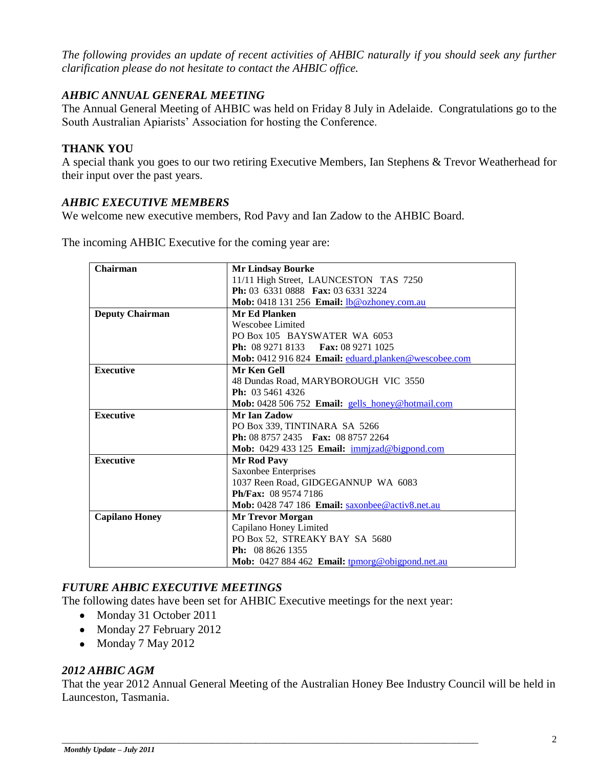*The following provides an update of recent activities of AHBIC naturally if you should seek any further clarification please do not hesitate to contact the AHBIC office.*

# *AHBIC ANNUAL GENERAL MEETING*

The Annual General Meeting of AHBIC was held on Friday 8 July in Adelaide. Congratulations go to the South Australian Apiarists" Association for hosting the Conference.

# **THANK YOU**

A special thank you goes to our two retiring Executive Members, Ian Stephens & Trevor Weatherhead for their input over the past years.

# *AHBIC EXECUTIVE MEMBERS*

We welcome new executive members, Rod Pavy and Ian Zadow to the AHBIC Board.

The incoming AHBIC Executive for the coming year are:

| Chairman               | <b>Mr Lindsay Bourke</b>                                      |  |  |  |
|------------------------|---------------------------------------------------------------|--|--|--|
|                        | 11/11 High Street, LAUNCESTON TAS 7250                        |  |  |  |
|                        | <b>Ph:</b> 03 6331 0888 <b>Fax:</b> 03 6331 3224              |  |  |  |
|                        | Mob: 0418 131 256 Email: lb@ozhoney.com.au                    |  |  |  |
| <b>Deputy Chairman</b> | Mr Ed Planken                                                 |  |  |  |
|                        | Wescobee Limited                                              |  |  |  |
|                        | PO Box 105 BAYSWATER WA 6053                                  |  |  |  |
|                        | <b>Ph:</b> 08 9271 8133 <b>Fax:</b> 08 9271 1025              |  |  |  |
|                        | Mob: 0412 916 824 Email: eduard.planken@wescobee.com          |  |  |  |
| <b>Executive</b>       | Mr Ken Gell                                                   |  |  |  |
|                        | 48 Dundas Road, MARYBOROUGH VIC 3550                          |  |  |  |
|                        | <b>Ph:</b> $03\,5461\,4326$                                   |  |  |  |
|                        | Mob: 0428 506 752 Email: gells honey@hotmail.com              |  |  |  |
| <b>Executive</b>       | Mr Ian Zadow                                                  |  |  |  |
|                        | PO Box 339, TINTINARA SA 5266                                 |  |  |  |
|                        | <b>Ph:</b> 08 8757 2435 <b>Fax:</b> 08 8757 2264              |  |  |  |
|                        | Mob: 0429 433 125 Email: immizad@bigpond.com                  |  |  |  |
| <b>Executive</b>       | <b>Mr Rod Pavy</b>                                            |  |  |  |
|                        | Saxonbee Enterprises                                          |  |  |  |
|                        | 1037 Reen Road, GIDGEGANNUP WA 6083                           |  |  |  |
|                        | Ph/Fax: 08 9574 7186                                          |  |  |  |
|                        | <b>Mob:</b> 0428 747 186 <b>Email:</b> saxonbee@activ8.net.au |  |  |  |
| <b>Capilano Honey</b>  | <b>Mr Trevor Morgan</b>                                       |  |  |  |
|                        | Capilano Honey Limited                                        |  |  |  |
|                        | PO Box 52, STREAKY BAY SA 5680                                |  |  |  |
|                        | <b>Ph:</b> $0886261355$                                       |  |  |  |
|                        | Mob: 0427 884 462 Email: tpmorg@obigpond.net.au               |  |  |  |

# *FUTURE AHBIC EXECUTIVE MEETINGS*

The following dates have been set for AHBIC Executive meetings for the next year:

- Monday 31 October 2011
- Monday 27 February 2012
- Monday 7 May 2012

# *2012 AHBIC AGM*

That the year 2012 Annual General Meeting of the Australian Honey Bee Industry Council will be held in Launceston, Tasmania.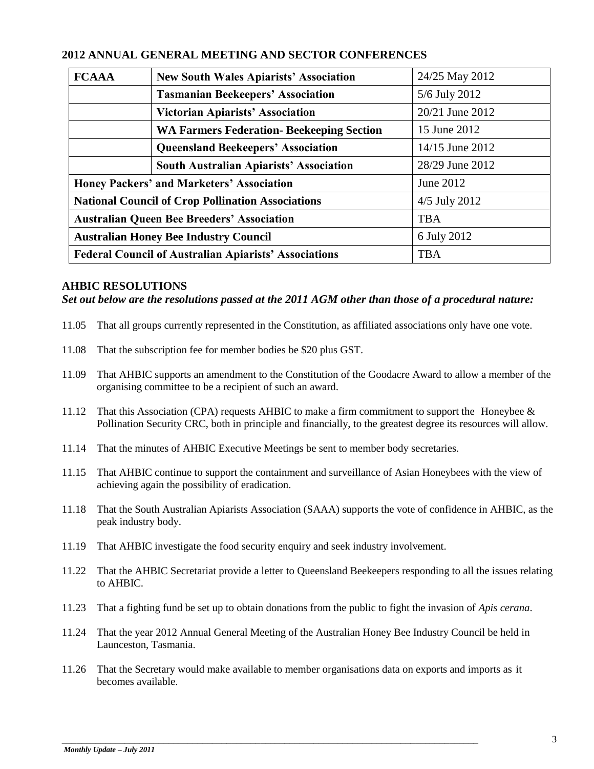| 2012 ANNUAL GENERAL MEETING AND SECTOR CONFERENCES |  |  |  |  |  |  |
|----------------------------------------------------|--|--|--|--|--|--|
|----------------------------------------------------|--|--|--|--|--|--|

| <b>FCAAA</b>                                                 | <b>New South Wales Apiarists' Association</b>    | 24/25 May 2012  |  |
|--------------------------------------------------------------|--------------------------------------------------|-----------------|--|
|                                                              | <b>Tasmanian Beekeepers' Association</b>         | 5/6 July 2012   |  |
|                                                              | <b>Victorian Apiarists' Association</b>          | 20/21 June 2012 |  |
|                                                              | <b>WA Farmers Federation- Beekeeping Section</b> | 15 June 2012    |  |
|                                                              | <b>Queensland Beekeepers' Association</b>        | 14/15 June 2012 |  |
|                                                              | <b>South Australian Apiarists' Association</b>   | 28/29 June 2012 |  |
| <b>Honey Packers' and Marketers' Association</b>             |                                                  | June 2012       |  |
| <b>National Council of Crop Pollination Associations</b>     |                                                  | 4/5 July 2012   |  |
| <b>Australian Queen Bee Breeders' Association</b>            |                                                  | <b>TBA</b>      |  |
| <b>Australian Honey Bee Industry Council</b>                 |                                                  | 6 July 2012     |  |
| <b>Federal Council of Australian Apiarists' Associations</b> |                                                  | <b>TBA</b>      |  |

#### **AHBIC RESOLUTIONS**

#### *Set out below are the resolutions passed at the 2011 AGM other than those of a procedural nature:*

- 11.05 That all groups currently represented in the Constitution, as affiliated associations only have one vote.
- 11.08 That the subscription fee for member bodies be \$20 plus GST.
- 11.09 That AHBIC supports an amendment to the Constitution of the Goodacre Award to allow a member of the organising committee to be a recipient of such an award.
- 11.12 That this Association (CPA) requests AHBIC to make a firm commitment to support the Honeybee & Pollination Security CRC, both in principle and financially, to the greatest degree its resources will allow.
- 11.14 That the minutes of AHBIC Executive Meetings be sent to member body secretaries.
- 11.15 That AHBIC continue to support the containment and surveillance of Asian Honeybees with the view of achieving again the possibility of eradication.
- 11.18 That the South Australian Apiarists Association (SAAA) supports the vote of confidence in AHBIC, as the peak industry body.
- 11.19 That AHBIC investigate the food security enquiry and seek industry involvement.
- 11.22 That the AHBIC Secretariat provide a letter to Queensland Beekeepers responding to all the issues relating to AHBIC.
- 11.23 That a fighting fund be set up to obtain donations from the public to fight the invasion of *Apis cerana*.
- 11.24 That the year 2012 Annual General Meeting of the Australian Honey Bee Industry Council be held in Launceston, Tasmania.
- 11.26 That the Secretary would make available to member organisations data on exports and imports as it becomes available.

\_\_\_\_\_\_\_\_\_\_\_\_\_\_\_\_\_\_\_\_\_\_\_\_\_\_\_\_\_\_\_\_\_\_\_\_\_\_\_\_\_\_\_\_\_\_\_\_\_\_\_\_\_\_\_\_\_\_\_\_\_\_\_\_\_\_\_\_\_\_\_\_\_\_\_\_\_\_\_\_\_\_\_\_\_\_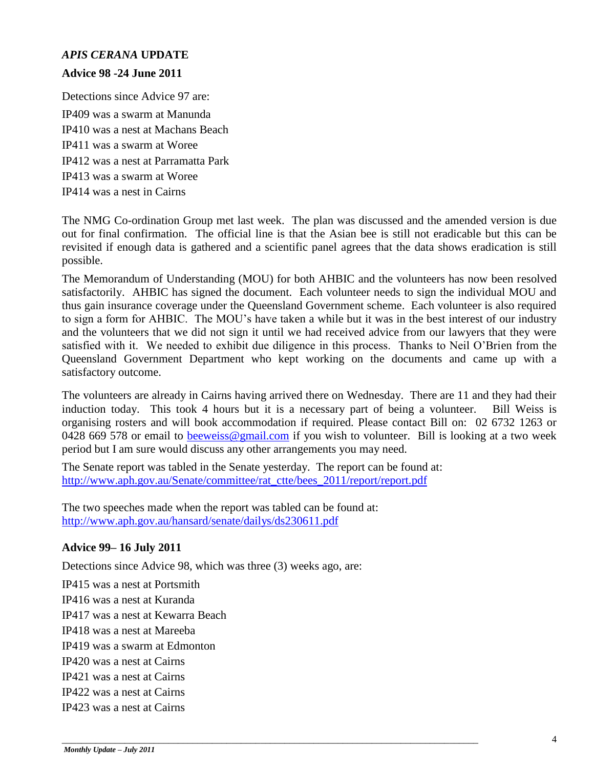# *APIS CERANA* **UPDATE**

#### **Advice 98 -24 June 2011**

Detections since Advice 97 are: IP409 was a swarm at Manunda IP410 was a nest at Machans Beach IP411 was a swarm at Woree IP412 was a nest at Parramatta Park IP413 was a swarm at Woree IP414 was a nest in Cairns

The NMG Co-ordination Group met last week. The plan was discussed and the amended version is due out for final confirmation. The official line is that the Asian bee is still not eradicable but this can be revisited if enough data is gathered and a scientific panel agrees that the data shows eradication is still possible.

The Memorandum of Understanding (MOU) for both AHBIC and the volunteers has now been resolved satisfactorily. AHBIC has signed the document. Each volunteer needs to sign the individual MOU and thus gain insurance coverage under the Queensland Government scheme. Each volunteer is also required to sign a form for AHBIC. The MOU"s have taken a while but it was in the best interest of our industry and the volunteers that we did not sign it until we had received advice from our lawyers that they were satisfied with it. We needed to exhibit due diligence in this process. Thanks to Neil O"Brien from the Queensland Government Department who kept working on the documents and came up with a satisfactory outcome.

The volunteers are already in Cairns having arrived there on Wednesday. There are 11 and they had their induction today. This took 4 hours but it is a necessary part of being a volunteer. Bill Weiss is organising rosters and will book accommodation if required. Please contact Bill on: 02 6732 1263 or 0428 669 578 or email to [beeweiss@gmail.com](mailto:beeweiss@gmail.com) if you wish to volunteer. Bill is looking at a two week period but I am sure would discuss any other arrangements you may need.

The Senate report was tabled in the Senate yesterday. The report can be found at: [http://www.aph.gov.au/Senate/committee/rat\\_ctte/bees\\_2011/report/report.pdf](http://www.aph.gov.au/Senate/committee/rat_ctte/bees_2011/report/report.pdf)

\_\_\_\_\_\_\_\_\_\_\_\_\_\_\_\_\_\_\_\_\_\_\_\_\_\_\_\_\_\_\_\_\_\_\_\_\_\_\_\_\_\_\_\_\_\_\_\_\_\_\_\_\_\_\_\_\_\_\_\_\_\_\_\_\_\_\_\_\_\_\_\_\_\_\_\_\_\_\_\_\_\_\_\_\_\_

The two speeches made when the report was tabled can be found at: <http://www.aph.gov.au/hansard/senate/dailys/ds230611.pdf>

# **Advice 99– 16 July 2011**

Detections since Advice 98, which was three (3) weeks ago, are:

IP415 was a nest at Portsmith IP416 was a nest at Kuranda IP417 was a nest at Kewarra Beach IP418 was a nest at Mareeba IP419 was a swarm at Edmonton IP420 was a nest at Cairns IP421 was a nest at Cairns IP422 was a nest at Cairns IP423 was a nest at Cairns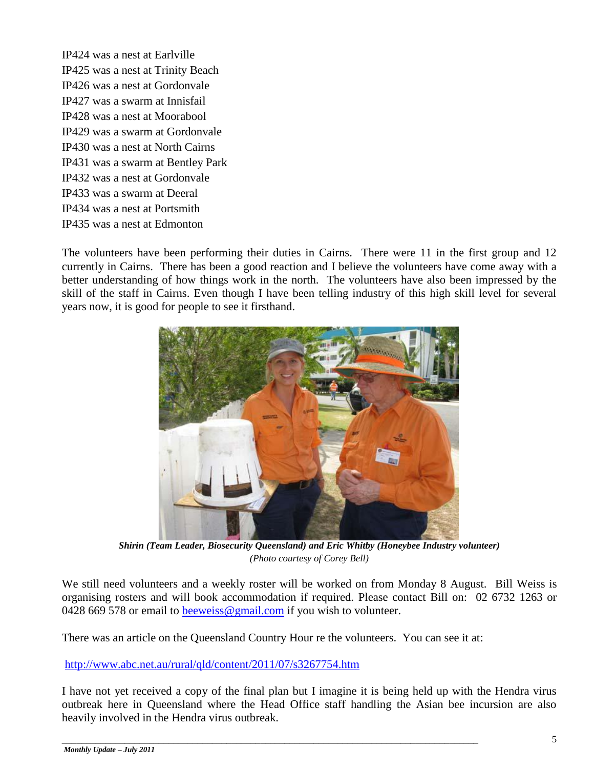IP424 was a nest at Earlville IP425 was a nest at Trinity Beach IP426 was a nest at Gordonvale IP427 was a swarm at Innisfail IP428 was a nest at Moorabool IP429 was a swarm at Gordonvale IP430 was a nest at North Cairns IP431 was a swarm at Bentley Park IP432 was a nest at Gordonvale IP433 was a swarm at Deeral IP434 was a nest at Portsmith IP435 was a nest at Edmonton

The volunteers have been performing their duties in Cairns. There were 11 in the first group and 12 currently in Cairns. There has been a good reaction and I believe the volunteers have come away with a better understanding of how things work in the north. The volunteers have also been impressed by the skill of the staff in Cairns. Even though I have been telling industry of this high skill level for several years now, it is good for people to see it firsthand.



*Shirin (Team Leader, Biosecurity Queensland) and Eric Whitby (Honeybee Industry volunteer) (Photo courtesy of Corey Bell)*

We still need volunteers and a weekly roster will be worked on from Monday 8 August. Bill Weiss is organising rosters and will book accommodation if required. Please contact Bill on: 02 6732 1263 or 0428 669 578 or email to [beeweiss@gmail.com](mailto:beeweiss@gmail.com) if you wish to volunteer.

There was an article on the Queensland Country Hour re the volunteers. You can see it at:

\_\_\_\_\_\_\_\_\_\_\_\_\_\_\_\_\_\_\_\_\_\_\_\_\_\_\_\_\_\_\_\_\_\_\_\_\_\_\_\_\_\_\_\_\_\_\_\_\_\_\_\_\_\_\_\_\_\_\_\_\_\_\_\_\_\_\_\_\_\_\_\_\_\_\_\_\_\_\_\_\_\_\_\_\_\_

<http://www.abc.net.au/rural/qld/content/2011/07/s3267754.htm>

I have not yet received a copy of the final plan but I imagine it is being held up with the Hendra virus outbreak here in Queensland where the Head Office staff handling the Asian bee incursion are also heavily involved in the Hendra virus outbreak.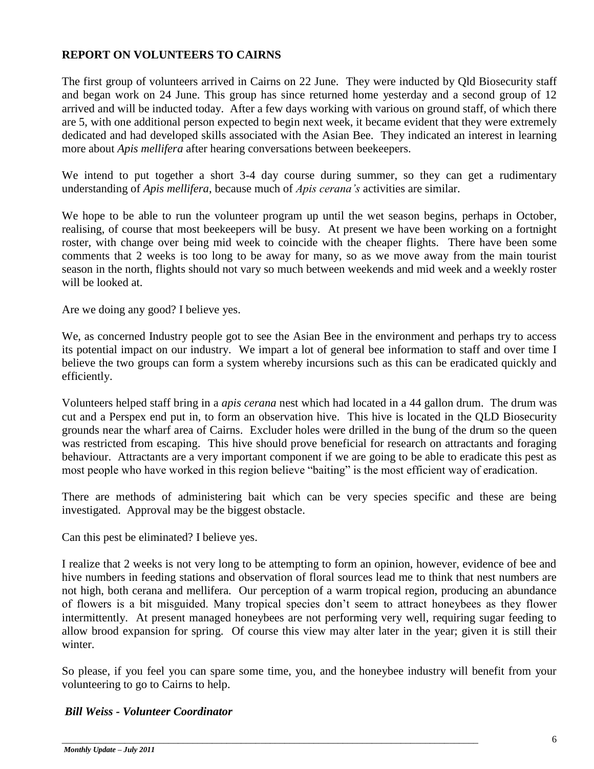# **REPORT ON VOLUNTEERS TO CAIRNS**

The first group of volunteers arrived in Cairns on 22 June. They were inducted by Qld Biosecurity staff and began work on 24 June. This group has since returned home yesterday and a second group of 12 arrived and will be inducted today. After a few days working with various on ground staff, of which there are 5, with one additional person expected to begin next week, it became evident that they were extremely dedicated and had developed skills associated with the Asian Bee. They indicated an interest in learning more about *Apis mellifera* after hearing conversations between beekeepers.

We intend to put together a short 3-4 day course during summer, so they can get a rudimentary understanding of *Apis mellifera*, because much of *Apis cerana's* activities are similar.

We hope to be able to run the volunteer program up until the wet season begins, perhaps in October, realising, of course that most beekeepers will be busy. At present we have been working on a fortnight roster, with change over being mid week to coincide with the cheaper flights. There have been some comments that 2 weeks is too long to be away for many, so as we move away from the main tourist season in the north, flights should not vary so much between weekends and mid week and a weekly roster will be looked at.

Are we doing any good? I believe yes.

We, as concerned Industry people got to see the Asian Bee in the environment and perhaps try to access its potential impact on our industry. We impart a lot of general bee information to staff and over time I believe the two groups can form a system whereby incursions such as this can be eradicated quickly and efficiently.

Volunteers helped staff bring in a *apis cerana* nest which had located in a 44 gallon drum. The drum was cut and a Perspex end put in, to form an observation hive. This hive is located in the QLD Biosecurity grounds near the wharf area of Cairns. Excluder holes were drilled in the bung of the drum so the queen was restricted from escaping. This hive should prove beneficial for research on attractants and foraging behaviour. Attractants are a very important component if we are going to be able to eradicate this pest as most people who have worked in this region believe "baiting" is the most efficient way of eradication.

There are methods of administering bait which can be very species specific and these are being investigated. Approval may be the biggest obstacle.

Can this pest be eliminated? I believe yes.

I realize that 2 weeks is not very long to be attempting to form an opinion, however, evidence of bee and hive numbers in feeding stations and observation of floral sources lead me to think that nest numbers are not high, both cerana and mellifera. Our perception of a warm tropical region, producing an abundance of flowers is a bit misguided. Many tropical species don"t seem to attract honeybees as they flower intermittently. At present managed honeybees are not performing very well, requiring sugar feeding to allow brood expansion for spring. Of course this view may alter later in the year; given it is still their winter.

So please, if you feel you can spare some time, you, and the honeybee industry will benefit from your volunteering to go to Cairns to help.

\_\_\_\_\_\_\_\_\_\_\_\_\_\_\_\_\_\_\_\_\_\_\_\_\_\_\_\_\_\_\_\_\_\_\_\_\_\_\_\_\_\_\_\_\_\_\_\_\_\_\_\_\_\_\_\_\_\_\_\_\_\_\_\_\_\_\_\_\_\_\_\_\_\_\_\_\_\_\_\_\_\_\_\_\_\_

# *Bill Weiss - Volunteer Coordinator*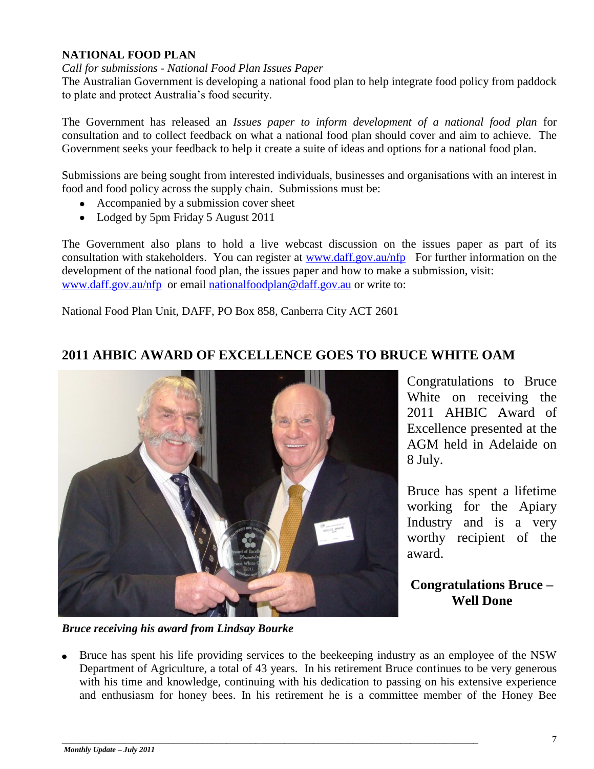## **NATIONAL FOOD PLAN**

#### *Call for submissions - National Food Plan Issues Paper*

The Australian Government is developing a national food plan to help integrate food policy from paddock to plate and protect Australia"s food security.

The Government has released an *Issues paper to inform development of a national food plan* for consultation and to collect feedback on what a national food plan should cover and aim to achieve. The Government seeks your feedback to help it create a suite of ideas and options for a national food plan.

Submissions are being sought from interested individuals, businesses and organisations with an interest in food and food policy across the supply chain. Submissions must be:

- Accompanied by a submission cover sheet
- Lodged by 5pm Friday 5 August 2011

The Government also plans to hold a live webcast discussion on the issues paper as part of its consultation with stakeholders. You can register at [www.daff.gov.au/nfp](http://www.daff.gov.au/nfp) For further information on the development of the national food plan, the issues paper and how to make a submission, visit: [www.daff.gov.au/nfp](http://www.daff.gov.au/nfp) or email [nationalfoodplan@daff.gov.au](mailto:nationalfoodplan@daff.gov.au) or write to:

National Food Plan Unit, DAFF, PO Box 858, Canberra City ACT 2601

# **2011 AHBIC AWARD OF EXCELLENCE GOES TO BRUCE WHITE OAM**



*Bruce receiving his award from Lindsay Bourke*

Congratulations to Bruce White on receiving the 2011 AHBIC Award of Excellence presented at the AGM held in Adelaide on 8 July.

Bruce has spent a lifetime working for the Apiary Industry and is a very worthy recipient of the award.

**Congratulations Bruce – Well Done**

Bruce has spent his life providing services to the beekeeping industry as an employee of the NSW Department of Agriculture, a total of 43 years. In his retirement Bruce continues to be very generous with his time and knowledge, continuing with his dedication to passing on his extensive experience and enthusiasm for honey bees. In his retirement he is a committee member of the Honey Bee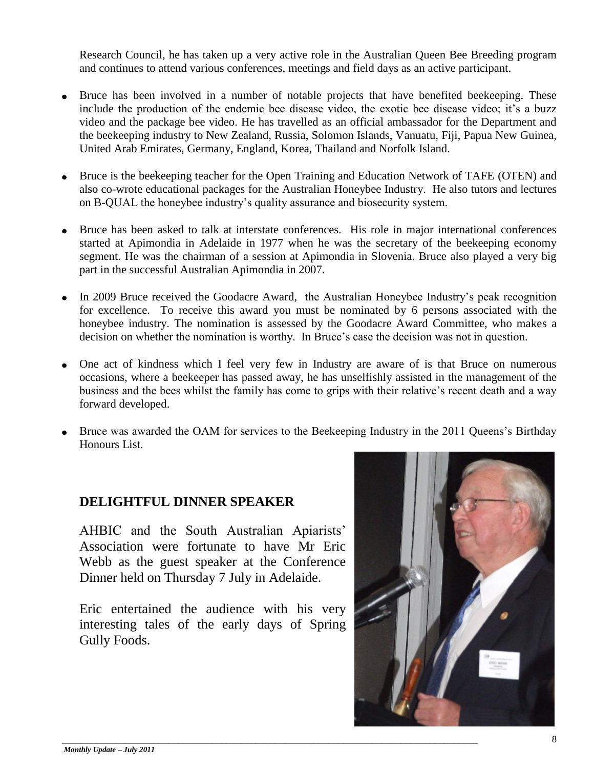Research Council, he has taken up a very active role in the Australian Queen Bee Breeding program and continues to attend various conferences, meetings and field days as an active participant.

- Bruce has been involved in a number of notable projects that have benefited beekeeping. These include the production of the endemic bee disease video, the exotic bee disease video; it's a buzz video and the package bee video. He has travelled as an official ambassador for the Department and the beekeeping industry to New Zealand, Russia, Solomon Islands, Vanuatu, Fiji, Papua New Guinea, United Arab Emirates, Germany, England, Korea, Thailand and Norfolk Island.
- Bruce is the beekeeping teacher for the Open Training and Education Network of TAFE (OTEN) and also co-wrote educational packages for the Australian Honeybee Industry. He also tutors and lectures on B-QUAL the honeybee industry"s quality assurance and biosecurity system.
- Bruce has been asked to talk at interstate conferences. His role in major international conferences started at Apimondia in Adelaide in 1977 when he was the secretary of the beekeeping economy segment. He was the chairman of a session at Apimondia in Slovenia. Bruce also played a very big part in the successful Australian Apimondia in 2007.
- In 2009 Bruce received the Goodacre Award, the Australian Honeybee Industry's peak recognition for excellence. To receive this award you must be nominated by 6 persons associated with the honeybee industry. The nomination is assessed by the Goodacre Award Committee, who makes a decision on whether the nomination is worthy. In Bruce's case the decision was not in question.
- One act of kindness which I feel very few in Industry are aware of is that Bruce on numerous occasions, where a beekeeper has passed away, he has unselfishly assisted in the management of the business and the bees whilst the family has come to grips with their relative's recent death and a way forward developed.
- Bruce was awarded the OAM for services to the Beekeeping Industry in the 2011 Queens's Birthday Honours List.

# **DELIGHTFUL DINNER SPEAKER**

AHBIC and the South Australian Apiarists" Association were fortunate to have Mr Eric Webb as the guest speaker at the Conference Dinner held on Thursday 7 July in Adelaide.

Eric entertained the audience with his very interesting tales of the early days of Spring Gully Foods.

\_\_\_\_\_\_\_\_\_\_\_\_\_\_\_\_\_\_\_\_\_\_\_\_\_\_\_\_\_\_\_\_\_\_\_\_\_\_\_\_\_\_\_\_\_\_\_\_\_\_\_\_\_\_\_\_\_\_\_\_\_\_\_\_\_\_\_\_\_\_\_\_\_\_\_\_\_\_\_\_\_\_\_\_\_\_

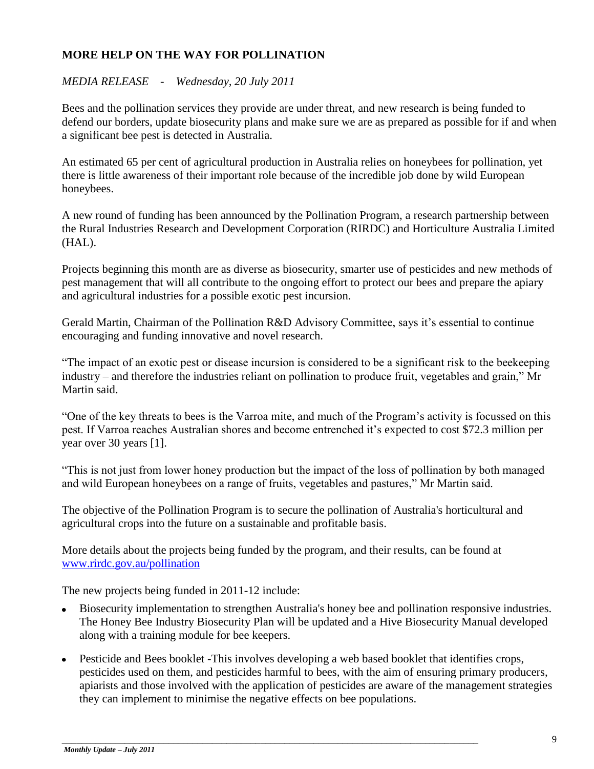# **MORE HELP ON THE WAY FOR POLLINATION**

# *MEDIA RELEASE - Wednesday, 20 July 2011*

Bees and the pollination services they provide are under threat, and new research is being funded to defend our borders, update biosecurity plans and make sure we are as prepared as possible for if and when a significant bee pest is detected in Australia.

An estimated 65 per cent of agricultural production in Australia relies on honeybees for pollination, yet there is little awareness of their important role because of the incredible job done by wild European honeybees.

A new round of funding has been announced by the Pollination Program, a research partnership between the Rural Industries Research and Development Corporation (RIRDC) and Horticulture Australia Limited (HAL).

Projects beginning this month are as diverse as biosecurity, smarter use of pesticides and new methods of pest management that will all contribute to the ongoing effort to protect our bees and prepare the apiary and agricultural industries for a possible exotic pest incursion.

Gerald Martin, Chairman of the Pollination R&D Advisory Committee, says it's essential to continue encouraging and funding innovative and novel research.

"The impact of an exotic pest or disease incursion is considered to be a significant risk to the beekeeping industry – and therefore the industries reliant on pollination to produce fruit, vegetables and grain," Mr Martin said.

"One of the key threats to bees is the Varroa mite, and much of the Program"s activity is focussed on this pest. If Varroa reaches Australian shores and become entrenched it"s expected to cost \$72.3 million per year over 30 years [1].

"This is not just from lower honey production but the impact of the loss of pollination by both managed and wild European honeybees on a range of fruits, vegetables and pastures," Mr Martin said.

The objective of the Pollination Program is to secure the pollination of Australia's horticultural and agricultural crops into the future on a sustainable and profitable basis.

More details about the projects being funded by the program, and their results, can be found at [www.rirdc.gov.au/pollination](http://www.rirdc.gov.au/pollination) 

The new projects being funded in 2011-12 include:

- Biosecurity implementation to strengthen Australia's honey bee and pollination responsive industries. The Honey Bee Industry Biosecurity Plan will be updated and a Hive Biosecurity Manual developed along with a training module for bee keepers.
- Pesticide and Bees booklet -This involves developing a web based booklet that identifies crops, pesticides used on them, and pesticides harmful to bees, with the aim of ensuring primary producers, apiarists and those involved with the application of pesticides are aware of the management strategies they can implement to minimise the negative effects on bee populations.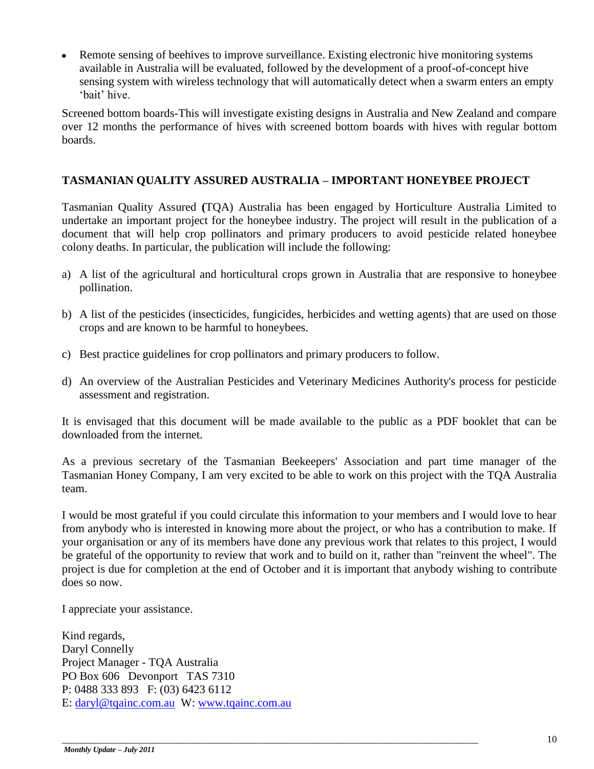Remote sensing of beehives to improve surveillance. Existing electronic hive monitoring systems  $\bullet$ available in Australia will be evaluated, followed by the development of a proof-of-concept hive sensing system with wireless technology that will automatically detect when a swarm enters an empty 'hait' hive

Screened bottom boards-This will investigate existing designs in Australia and New Zealand and compare over 12 months the performance of hives with screened bottom boards with hives with regular bottom boards.

# **TASMANIAN QUALITY ASSURED AUSTRALIA – IMPORTANT HONEYBEE PROJECT**

Tasmanian Quality Assured **(**TQA) Australia has been engaged by Horticulture Australia Limited to undertake an important project for the honeybee industry. The project will result in the publication of a document that will help crop pollinators and primary producers to avoid pesticide related honeybee colony deaths. In particular, the publication will include the following:

- a) A list of the agricultural and horticultural crops grown in Australia that are responsive to honeybee pollination.
- b) A list of the pesticides (insecticides, fungicides, herbicides and wetting agents) that are used on those crops and are known to be harmful to honeybees.
- c) Best practice guidelines for crop pollinators and primary producers to follow.
- d) An overview of the Australian Pesticides and Veterinary Medicines Authority's process for pesticide assessment and registration.

It is envisaged that this document will be made available to the public as a PDF booklet that can be downloaded from the internet.

As a previous secretary of the Tasmanian Beekeepers' Association and part time manager of the Tasmanian Honey Company, I am very excited to be able to work on this project with the TQA Australia team.

I would be most grateful if you could circulate this information to your members and I would love to hear from anybody who is interested in knowing more about the project, or who has a contribution to make. If your organisation or any of its members have done any previous work that relates to this project, I would be grateful of the opportunity to review that work and to build on it, rather than "reinvent the wheel". The project is due for completion at the end of October and it is important that anybody wishing to contribute does so now.

I appreciate your assistance.

Kind regards, Daryl Connelly Project Manager - TQA Australia PO Box 606 Devonport TAS 7310 P: 0488 333 893 F: (03) 6423 6112 E: [daryl@tqainc.com.au](mailto:daryl@tqainc.com.au) W: [www.tqainc.com.au](http://www.tqainc.com.au/)